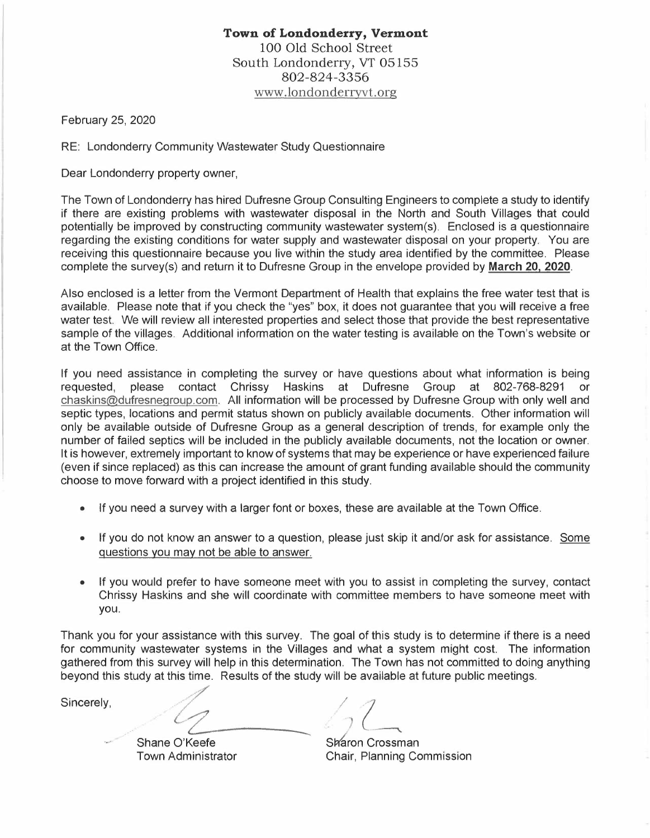## **Town of Londonderry, Vermont**  100 Old School Street South Londonderry, VT 05155 802-824-3356 www.londonderryvt.org

February 25, 2020

RE: Londonderry Community Wastewater Study Questionnaire

Dear Londonderry property owner,

The Town of Londonderry has hired Dufresne Group Consulting Engineers to complete a study to identify if there are existing problems with wastewater disposal in the North and South Villages that could potentially be improved by constructing community wastewater system(s). Enclosed is a questionnaire regarding the existing conditions for water supply and wastewater disposal on your property. You are receiving this questionnaire because you live within the study area identified by the committee. Please complete the survey(s) and return it to Dufresne Group in the envelope provided by March 20, 2020.

Also enclosed is a letter from the Vermont Department of Health that explains the free water test that is available. Please note that if you check the "yes" box, it does not guarantee that you will receive a free water test. We will review all interested properties and select those that provide the best representative sample of the villages. Additional information on the water testing is available on the Town's website or at the Town Office.

If you need assistance in completing the survey or have questions about what information is being requested, please contact Chrissy Haskins at Dufresne Group at 802-768-8291 or chaskins@dufresnegroup.com. All information will be processed by Dufresne Group with only well and septic types, locations and permit status shown on publicly available documents. Other information will only be available outside of Dufresne Group as a general description of trends, for example only the number of failed septics will be included in the publicly available documents, not the location or owner. It is however, extremely important to know of systems that may be experience or have experienced failure (even if since replaced) as this can increase the amount of grant funding available should the community choose to move forward with a project identified in this study.

- If you need a survey with a larger font or boxes, these are available at the Town Office.
- If you do not know an answer to a question, please just skip it and/or ask for assistance. Some questions you may not be able to answer.
- If you would prefer to have someone meet with you to assist in completing the survey, contact Chrissy Haskins and she will coordinate with committee members to have someone meet with you.

Thank you for your assistance with this survey. The goal of this study is to determine if there is a need for community wastewater systems in the Villages and what a system might cost. The information gathered from this survey will help in this determination. The Town has not committed to doing anything beyond this study at this time. Results of the study will be available at future public meetings.<br>Sincerely

Sincerely,

Shane O'Keefe Town Administrator

 $\frac{1}{2}$  $\sqrt{2}$ 

Sharon Crossman Chair, Planning Commission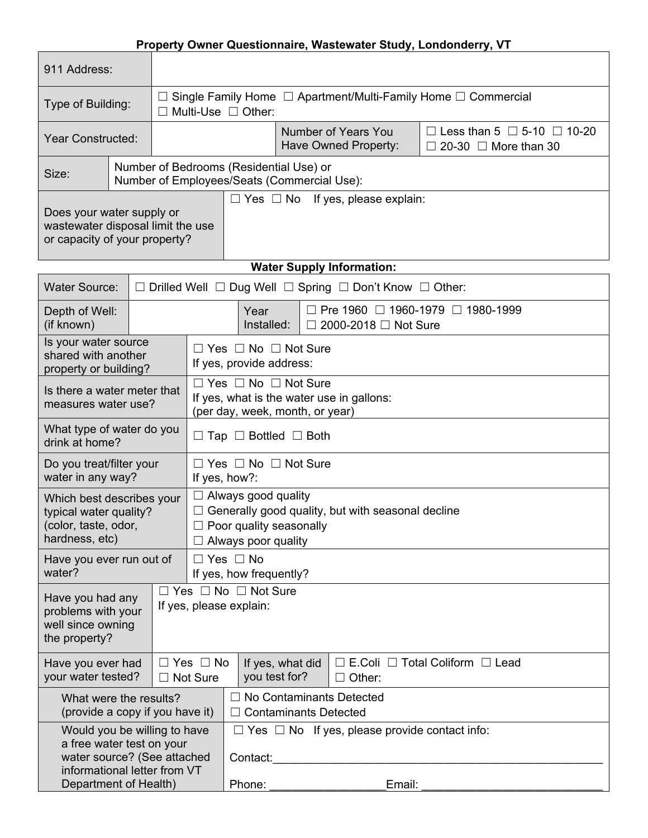## **Property Owner Questionnaire, Wastewater Study, Londonderry, VT**

| 911 Address:                                                                                                                                      |  |                                                                                             |                                                                                                                                                 |                                                                                           |                                                                                                       |                                                                                 |  |  |  |  |
|---------------------------------------------------------------------------------------------------------------------------------------------------|--|---------------------------------------------------------------------------------------------|-------------------------------------------------------------------------------------------------------------------------------------------------|-------------------------------------------------------------------------------------------|-------------------------------------------------------------------------------------------------------|---------------------------------------------------------------------------------|--|--|--|--|
| Type of Building:                                                                                                                                 |  |                                                                                             | Single Family Home $\Box$ Apartment/Multi-Family Home $\Box$ Commercial<br>Multi-Use $\Box$ Other:                                              |                                                                                           |                                                                                                       |                                                                                 |  |  |  |  |
| <b>Year Constructed:</b>                                                                                                                          |  |                                                                                             |                                                                                                                                                 |                                                                                           | <b>Number of Years You</b><br>Have Owned Property:                                                    | $\Box$ Less than 5 $\Box$ 5-10 $\Box$ 10-20<br>$\Box$ 20-30 $\Box$ More than 30 |  |  |  |  |
| Size:                                                                                                                                             |  |                                                                                             | Number of Bedrooms (Residential Use) or<br>Number of Employees/Seats (Commercial Use):                                                          |                                                                                           |                                                                                                       |                                                                                 |  |  |  |  |
| $\Box$ Yes $\Box$ No If yes, please explain:<br>Does your water supply or<br>wastewater disposal limit the use<br>or capacity of your property?   |  |                                                                                             |                                                                                                                                                 |                                                                                           |                                                                                                       |                                                                                 |  |  |  |  |
|                                                                                                                                                   |  |                                                                                             |                                                                                                                                                 |                                                                                           | <b>Water Supply Information:</b>                                                                      |                                                                                 |  |  |  |  |
| <b>Water Source:</b>                                                                                                                              |  |                                                                                             |                                                                                                                                                 |                                                                                           | $\Box$ Drilled Well $\Box$ Dug Well $\Box$ Spring $\Box$ Don't Know $\Box$ Other:                     |                                                                                 |  |  |  |  |
| Depth of Well:<br>(if known)                                                                                                                      |  | □ Pre 1960 □ 1960-1979 □ 1980-1999<br>Year<br>Installed:<br>2000-2018 □ Not Sure<br>$\perp$ |                                                                                                                                                 |                                                                                           |                                                                                                       |                                                                                 |  |  |  |  |
| Is your water source<br>shared with another<br>property or building?                                                                              |  |                                                                                             | $\Box$ Yes $\Box$ No $\Box$ Not Sure<br>If yes, provide address:                                                                                |                                                                                           |                                                                                                       |                                                                                 |  |  |  |  |
| Is there a water meter that<br>measures water use?                                                                                                |  |                                                                                             | $\Box$ Yes $\Box$ No $\Box$ Not Sure<br>If yes, what is the water use in gallons:<br>(per day, week, month, or year)                            |                                                                                           |                                                                                                       |                                                                                 |  |  |  |  |
| What type of water do you<br>drink at home?                                                                                                       |  |                                                                                             | $\Box$ Tap $\Box$ Bottled $\Box$ Both                                                                                                           |                                                                                           |                                                                                                       |                                                                                 |  |  |  |  |
| Do you treat/filter your<br>water in any way?                                                                                                     |  |                                                                                             | $\Box$ Yes $\Box$ No $\Box$ Not Sure<br>If yes, how?:                                                                                           |                                                                                           |                                                                                                       |                                                                                 |  |  |  |  |
| Which best describes your<br>typical water quality?<br>(color, taste, odor,<br>hardness, etc)                                                     |  |                                                                                             | $\Box$ Always good quality<br>$\Box$ Generally good quality, but with seasonal decline<br>Poor quality seasonally<br>$\Box$ Always poor quality |                                                                                           |                                                                                                       |                                                                                 |  |  |  |  |
| Have you ever run out of<br>water?                                                                                                                |  |                                                                                             |                                                                                                                                                 | $\Box$ Yes $\Box$ No<br>If yes, how frequently?                                           |                                                                                                       |                                                                                 |  |  |  |  |
| Have you had any<br>problems with your<br>well since owning<br>the property?                                                                      |  |                                                                                             | $\square$ Yes $\square$ No $\square$ Not Sure<br>If yes, please explain:                                                                        |                                                                                           |                                                                                                       |                                                                                 |  |  |  |  |
| Have you ever had<br>your water tested?                                                                                                           |  |                                                                                             | $\Box$ Yes $\Box$ No<br>$\Box$ Not Sure                                                                                                         |                                                                                           | $\Box$ E.Coli $\Box$ Total Coliform $\Box$ Lead<br>If yes, what did<br>you test for?<br>$\Box$ Other: |                                                                                 |  |  |  |  |
| What were the results?<br>(provide a copy if you have it)                                                                                         |  |                                                                                             |                                                                                                                                                 | No Contaminants Detected<br>$\perp$<br><b>Contaminants Detected</b>                       |                                                                                                       |                                                                                 |  |  |  |  |
| Would you be willing to have<br>a free water test on your<br>water source? (See attached<br>informational letter from VT<br>Department of Health) |  |                                                                                             |                                                                                                                                                 | $\Box$ Yes $\Box$ No If yes, please provide contact info:<br>Contact:<br>Email:<br>Phone: |                                                                                                       |                                                                                 |  |  |  |  |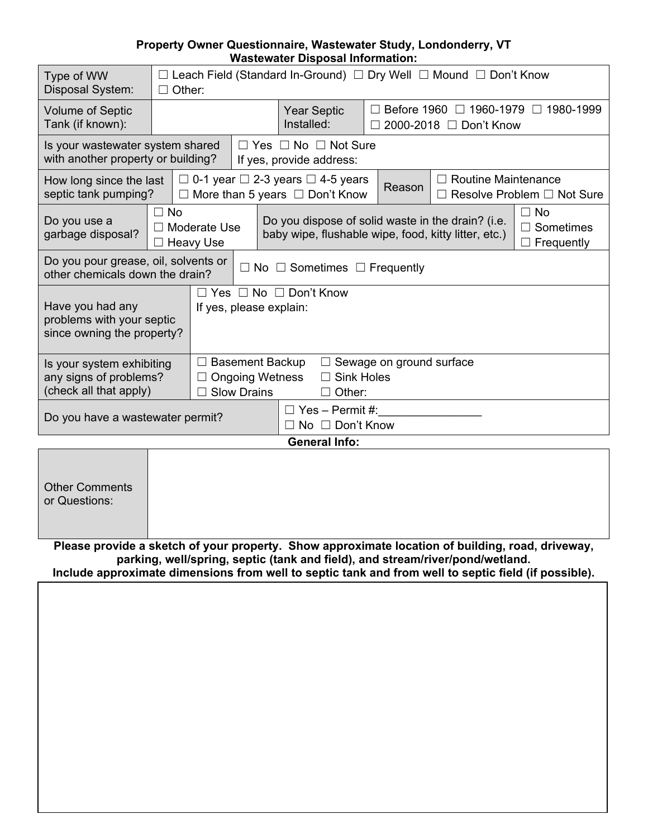## **Property Owner Questionnaire, Wastewater Study, Londonderry, VT Wastewater Disposal Information:**

| Type of WW<br>Disposal System:                                                | Leach Field (Standard In-Ground) □ Dry Well □ Mound □ Don't Know<br>Other:                                                                  |                                                                                                                                               |  |                                                                  |                                                                                                 |                                                                           |                            |                            |
|-------------------------------------------------------------------------------|---------------------------------------------------------------------------------------------------------------------------------------------|-----------------------------------------------------------------------------------------------------------------------------------------------|--|------------------------------------------------------------------|-------------------------------------------------------------------------------------------------|---------------------------------------------------------------------------|----------------------------|----------------------------|
| <b>Volume of Septic</b><br>Tank (if known):                                   |                                                                                                                                             |                                                                                                                                               |  |                                                                  | <b>Year Septic</b><br>Installed:                                                                | Before 1960 □ 1960-1979<br>1980-1999<br>$\perp$<br>2000-2018 □ Don't Know |                            |                            |
| Is your wastewater system shared<br>with another property or building?        |                                                                                                                                             |                                                                                                                                               |  | $\Box$ Yes $\Box$ No $\Box$ Not Sure<br>If yes, provide address: |                                                                                                 |                                                                           |                            |                            |
| How long since the last<br>septic tank pumping?                               |                                                                                                                                             |                                                                                                                                               |  |                                                                  | $\Box$ 0-1 year $\Box$ 2-3 years $\Box$ 4-5 years<br>$\Box$ More than 5 years $\Box$ Don't Know | Reason                                                                    | <b>Routine Maintenance</b> | Resolve Problem □ Not Sure |
| Do you use a<br>garbage disposal?                                             | $\Box$ No<br>$\perp$<br>$\Box$                                                                                                              | Do you dispose of solid waste in the drain? (i.e.<br>Moderate Use<br>baby wipe, flushable wipe, food, kitty litter, etc.)<br><b>Heavy Use</b> |  |                                                                  | $\Box$ No<br>$\Box$ Sometimes<br>$\Box$ Frequently                                              |                                                                           |                            |                            |
| Do you pour grease, oil, solvents or<br>other chemicals down the drain?       |                                                                                                                                             |                                                                                                                                               |  |                                                                  | $\Box$ No $\Box$ Sometimes $\Box$ Frequently                                                    |                                                                           |                            |                            |
| Have you had any<br>problems with your septic<br>since owning the property?   | Yes $\Box$ No $\Box$ Don't Know<br>If yes, please explain:                                                                                  |                                                                                                                                               |  |                                                                  |                                                                                                 |                                                                           |                            |                            |
| Is your system exhibiting<br>any signs of problems?<br>(check all that apply) | Sewage on ground surface<br><b>Basement Backup</b><br>$\Box$<br><b>Sink Holes</b><br><b>Ongoing Wetness</b><br><b>Slow Drains</b><br>Other: |                                                                                                                                               |  |                                                                  |                                                                                                 |                                                                           |                            |                            |
| Do you have a wastewater permit?                                              |                                                                                                                                             |                                                                                                                                               |  | ⊟ No                                                             | $\Box$ Yes – Permit #:<br>$\Box$ Don't Know                                                     |                                                                           |                            |                            |
| <b>General Info:</b>                                                          |                                                                                                                                             |                                                                                                                                               |  |                                                                  |                                                                                                 |                                                                           |                            |                            |
|                                                                               |                                                                                                                                             |                                                                                                                                               |  |                                                                  |                                                                                                 |                                                                           |                            |                            |

| <b>Other Comments</b><br>or Questions: |  |  |
|----------------------------------------|--|--|
|                                        |  |  |

**Please provide a sketch of your property. Show approximate location of building, road, driveway, parking, well/spring, septic (tank and field), and stream/river/pond/wetland. Include approximate dimensions from well to septic tank and from well to septic field (if possible).**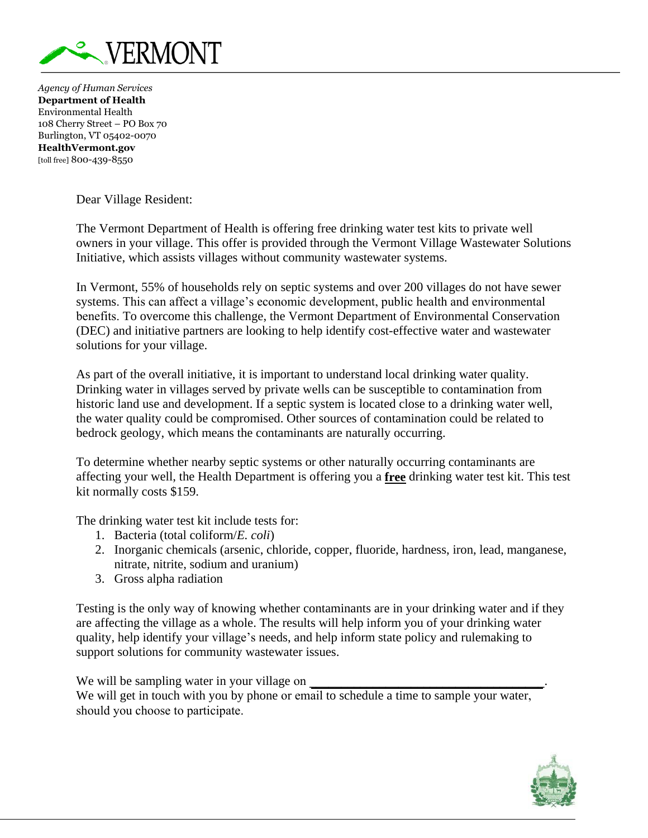

*Agency of Human Services* **Department of Health** Environmental Health 108 Cherry Street – PO Box 70 Burlington, VT 05402-0070 **HealthVermont.gov** [toll free] 800-439-8550

Dear Village Resident:

The Vermont Department of Health is offering free drinking water test kits to private well owners in your village. This offer is provided through the Vermont Village Wastewater Solutions Initiative, which assists villages without community wastewater systems.

In Vermont, 55% of households rely on septic systems and over 200 villages do not have sewer systems. This can affect a village's economic development, public health and environmental benefits. To overcome this challenge, the Vermont Department of Environmental Conservation (DEC) and initiative partners are looking to help identify cost-effective water and wastewater solutions for your village.

As part of the overall initiative, it is important to understand local drinking water quality. Drinking water in villages served by private wells can be susceptible to contamination from historic land use and development. If a septic system is located close to a drinking water well, the water quality could be compromised. Other sources of contamination could be related to bedrock geology, which means the contaminants are naturally occurring.

To determine whether nearby septic systems or other naturally occurring contaminants are affecting your well, the Health Department is offering you a **free** drinking water test kit. This test kit normally costs \$159.

The drinking water test kit include tests for:

- 1. Bacteria (total coliform/*E. coli*)
- 2. Inorganic chemicals (arsenic, chloride, copper, fluoride, hardness, iron, lead, manganese, nitrate, nitrite, sodium and uranium)
- 3. Gross alpha radiation

Testing is the only way of knowing whether contaminants are in your drinking water and if they are affecting the village as a whole. The results will help inform you of your drinking water quality, help identify your village's needs, and help inform state policy and rulemaking to support solutions for community wastewater issues.

We will be sampling water in your village on We will get in touch with you by phone or email to schedule a time to sample your water, should you choose to participate.